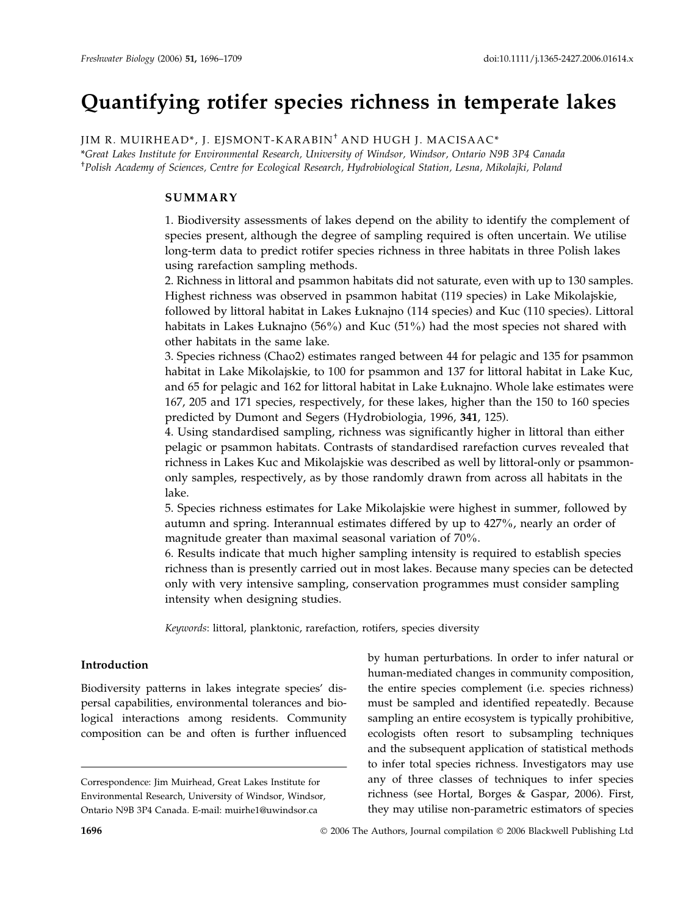# Quantifying rotifer species richness in temperate lakes

JIM R. MUIRHEAD\*, J. EJSMONT-KARABIN† AND HUGH J. MACISAAC\*

\*Great Lakes Institute for Environmental Research, University of Windsor, Windsor, Ontario N9B 3P4 Canada † Polish Academy of Sciences, Centre for Ecological Research, Hydrobiological Station, Lesna, Mikolajki, Poland

#### SUMMARY

1. Biodiversity assessments of lakes depend on the ability to identify the complement of species present, although the degree of sampling required is often uncertain. We utilise long-term data to predict rotifer species richness in three habitats in three Polish lakes using rarefaction sampling methods.

2. Richness in littoral and psammon habitats did not saturate, even with up to 130 samples. Highest richness was observed in psammon habitat (119 species) in Lake Mikolajskie, followed by littoral habitat in Lakes Łuknajno (114 species) and Kuc (110 species). Littoral habitats in Lakes Łuknajno (56%) and Kuc (51%) had the most species not shared with other habitats in the same lake.

3. Species richness (Chao2) estimates ranged between 44 for pelagic and 135 for psammon habitat in Lake Mikolajskie, to 100 for psammon and 137 for littoral habitat in Lake Kuc, and 65 for pelagic and 162 for littoral habitat in Lake Łuknajno. Whole lake estimates were 167, 205 and 171 species, respectively, for these lakes, higher than the 150 to 160 species predicted by Dumont and Segers (Hydrobiologia, 1996, 341, 125).

4. Using standardised sampling, richness was significantly higher in littoral than either pelagic or psammon habitats. Contrasts of standardised rarefaction curves revealed that richness in Lakes Kuc and Mikolajskie was described as well by littoral-only or psammononly samples, respectively, as by those randomly drawn from across all habitats in the lake.

5. Species richness estimates for Lake Mikolajskie were highest in summer, followed by autumn and spring. Interannual estimates differed by up to 427%, nearly an order of magnitude greater than maximal seasonal variation of 70%.

6. Results indicate that much higher sampling intensity is required to establish species richness than is presently carried out in most lakes. Because many species can be detected only with very intensive sampling, conservation programmes must consider sampling intensity when designing studies.

Keywords: littoral, planktonic, rarefaction, rotifers, species diversity

#### Introduction

Biodiversity patterns in lakes integrate species' dispersal capabilities, environmental tolerances and biological interactions among residents. Community composition can be and often is further influenced by human perturbations. In order to infer natural or human-mediated changes in community composition, the entire species complement (i.e. species richness) must be sampled and identified repeatedly. Because sampling an entire ecosystem is typically prohibitive, ecologists often resort to subsampling techniques and the subsequent application of statistical methods to infer total species richness. Investigators may use any of three classes of techniques to infer species richness (see Hortal, Borges & Gaspar, 2006). First, they may utilise non-parametric estimators of species

Correspondence: Jim Muirhead, Great Lakes Institute for Environmental Research, University of Windsor, Windsor, Ontario N9B 3P4 Canada. E-mail: muirhe1@uwindsor.ca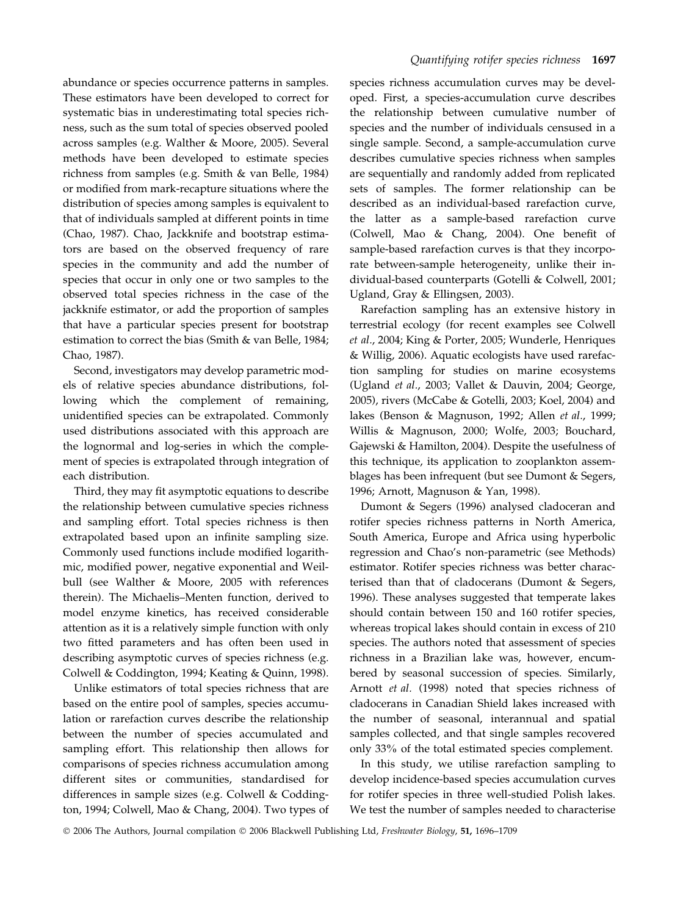abundance or species occurrence patterns in samples. These estimators have been developed to correct for systematic bias in underestimating total species richness, such as the sum total of species observed pooled across samples (e.g. Walther & Moore, 2005). Several methods have been developed to estimate species richness from samples (e.g. Smith & van Belle, 1984) or modified from mark-recapture situations where the distribution of species among samples is equivalent to that of individuals sampled at different points in time (Chao, 1987). Chao, Jackknife and bootstrap estimators are based on the observed frequency of rare species in the community and add the number of species that occur in only one or two samples to the observed total species richness in the case of the jackknife estimator, or add the proportion of samples that have a particular species present for bootstrap estimation to correct the bias (Smith & van Belle, 1984; Chao, 1987).

Second, investigators may develop parametric models of relative species abundance distributions, following which the complement of remaining, unidentified species can be extrapolated. Commonly used distributions associated with this approach are the lognormal and log-series in which the complement of species is extrapolated through integration of each distribution.

Third, they may fit asymptotic equations to describe the relationship between cumulative species richness and sampling effort. Total species richness is then extrapolated based upon an infinite sampling size. Commonly used functions include modified logarithmic, modified power, negative exponential and Weilbull (see Walther & Moore, 2005 with references therein). The Michaelis–Menten function, derived to model enzyme kinetics, has received considerable attention as it is a relatively simple function with only two fitted parameters and has often been used in describing asymptotic curves of species richness (e.g. Colwell & Coddington, 1994; Keating & Quinn, 1998).

Unlike estimators of total species richness that are based on the entire pool of samples, species accumulation or rarefaction curves describe the relationship between the number of species accumulated and sampling effort. This relationship then allows for comparisons of species richness accumulation among different sites or communities, standardised for differences in sample sizes (e.g. Colwell & Coddington, 1994; Colwell, Mao & Chang, 2004). Two types of species richness accumulation curves may be developed. First, a species-accumulation curve describes the relationship between cumulative number of species and the number of individuals censused in a single sample. Second, a sample-accumulation curve describes cumulative species richness when samples are sequentially and randomly added from replicated sets of samples. The former relationship can be described as an individual-based rarefaction curve, the latter as a sample-based rarefaction curve (Colwell, Mao & Chang, 2004). One benefit of sample-based rarefaction curves is that they incorporate between-sample heterogeneity, unlike their individual-based counterparts (Gotelli & Colwell, 2001; Ugland, Gray & Ellingsen, 2003).

Rarefaction sampling has an extensive history in terrestrial ecology (for recent examples see Colwell et al., 2004; King & Porter, 2005; Wunderle, Henriques & Willig, 2006). Aquatic ecologists have used rarefaction sampling for studies on marine ecosystems (Ugland et al., 2003; Vallet & Dauvin, 2004; George, 2005), rivers (McCabe & Gotelli, 2003; Koel, 2004) and lakes (Benson & Magnuson, 1992; Allen et al., 1999; Willis & Magnuson, 2000; Wolfe, 2003; Bouchard, Gajewski & Hamilton, 2004). Despite the usefulness of this technique, its application to zooplankton assemblages has been infrequent (but see Dumont & Segers, 1996; Arnott, Magnuson & Yan, 1998).

Dumont & Segers (1996) analysed cladoceran and rotifer species richness patterns in North America, South America, Europe and Africa using hyperbolic regression and Chao's non-parametric (see Methods) estimator. Rotifer species richness was better characterised than that of cladocerans (Dumont & Segers, 1996). These analyses suggested that temperate lakes should contain between 150 and 160 rotifer species, whereas tropical lakes should contain in excess of 210 species. The authors noted that assessment of species richness in a Brazilian lake was, however, encumbered by seasonal succession of species. Similarly, Arnott et al. (1998) noted that species richness of cladocerans in Canadian Shield lakes increased with the number of seasonal, interannual and spatial samples collected, and that single samples recovered only 33% of the total estimated species complement.

In this study, we utilise rarefaction sampling to develop incidence-based species accumulation curves for rotifer species in three well-studied Polish lakes. We test the number of samples needed to characterise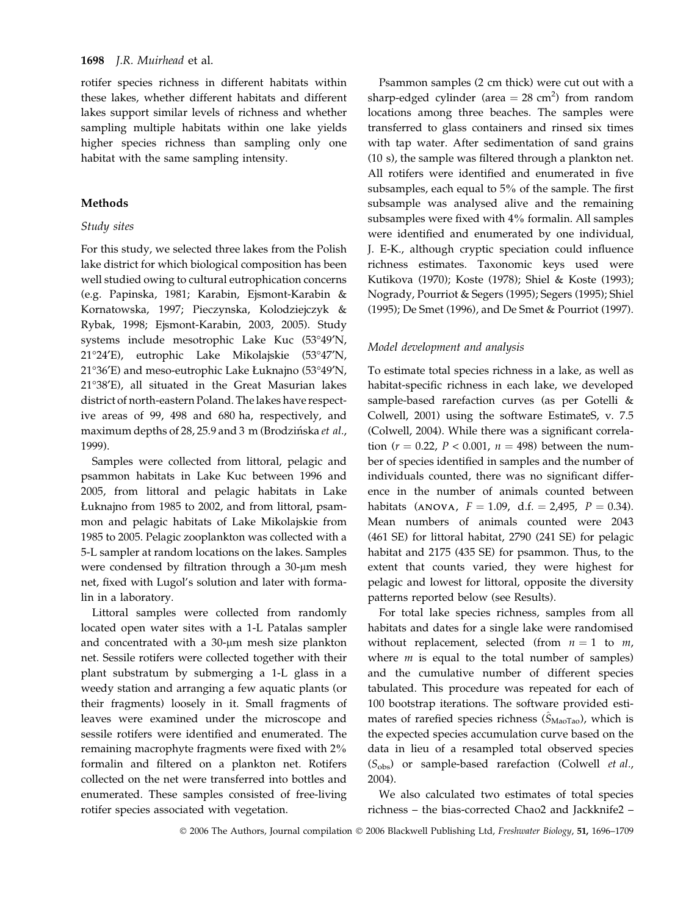rotifer species richness in different habitats within these lakes, whether different habitats and different lakes support similar levels of richness and whether sampling multiple habitats within one lake yields higher species richness than sampling only one habitat with the same sampling intensity.

#### Methods

#### Study sites

For this study, we selected three lakes from the Polish lake district for which biological composition has been well studied owing to cultural eutrophication concerns (e.g. Papinska, 1981; Karabin, Ejsmont-Karabin & Kornatowska, 1997; Pieczynska, Kolodziejczyk & Rybak, 1998; Ejsmont-Karabin, 2003, 2005). Study systems include mesotrophic Lake Kuc (53°49'N, 21°24′E), eutrophic Lake Mikolajskie (53°47′N,  $21^{\circ}36'E$ ) and meso-eutrophic Lake Łuknajno (53 $^{\circ}49'N$ , 2138¢E), all situated in the Great Masurian lakes district of north-eastern Poland. The lakes have respective areas of 99, 498 and 680 ha, respectively, and maximum depths of 28, 25.9 and 3 m (Brodzińska et al., 1999).

Samples were collected from littoral, pelagic and psammon habitats in Lake Kuc between 1996 and 2005, from littoral and pelagic habitats in Lake Łuknajno from 1985 to 2002, and from littoral, psammon and pelagic habitats of Lake Mikolajskie from 1985 to 2005. Pelagic zooplankton was collected with a 5-L sampler at random locations on the lakes. Samples were condensed by filtration through a 30-µm mesh net, fixed with Lugol's solution and later with formalin in a laboratory.

Littoral samples were collected from randomly located open water sites with a 1-L Patalas sampler and concentrated with a  $30$ - $\mu$ m mesh size plankton net. Sessile rotifers were collected together with their plant substratum by submerging a 1-L glass in a weedy station and arranging a few aquatic plants (or their fragments) loosely in it. Small fragments of leaves were examined under the microscope and sessile rotifers were identified and enumerated. The remaining macrophyte fragments were fixed with 2% formalin and filtered on a plankton net. Rotifers collected on the net were transferred into bottles and enumerated. These samples consisted of free-living rotifer species associated with vegetation.

Psammon samples (2 cm thick) were cut out with a sharp-edged cylinder (area  $= 28$  cm<sup>2</sup>) from random locations among three beaches. The samples were transferred to glass containers and rinsed six times with tap water. After sedimentation of sand grains (10 s), the sample was filtered through a plankton net. All rotifers were identified and enumerated in five subsamples, each equal to 5% of the sample. The first subsample was analysed alive and the remaining subsamples were fixed with 4% formalin. All samples were identified and enumerated by one individual, J. E-K., although cryptic speciation could influence richness estimates. Taxonomic keys used were Kutikova (1970); Koste (1978); Shiel & Koste (1993); Nogrady, Pourriot & Segers (1995); Segers (1995); Shiel (1995); De Smet (1996), and De Smet & Pourriot (1997).

#### Model development and analysis

To estimate total species richness in a lake, as well as habitat-specific richness in each lake, we developed sample-based rarefaction curves (as per Gotelli & Colwell, 2001) using the software EstimateS, v. 7.5 (Colwell, 2004). While there was a significant correlation ( $r = 0.22$ ,  $P < 0.001$ ,  $n = 498$ ) between the number of species identified in samples and the number of individuals counted, there was no significant difference in the number of animals counted between habitats (ANOVA,  $F = 1.09$ , d.f.  $= 2,495$ ,  $P = 0.34$ ). Mean numbers of animals counted were 2043 (461 SE) for littoral habitat, 2790 (241 SE) for pelagic habitat and 2175 (435 SE) for psammon. Thus, to the extent that counts varied, they were highest for pelagic and lowest for littoral, opposite the diversity patterns reported below (see Results).

For total lake species richness, samples from all habitats and dates for a single lake were randomised without replacement, selected (from  $n = 1$  to  $m$ , where  $m$  is equal to the total number of samples) and the cumulative number of different species tabulated. This procedure was repeated for each of 100 bootstrap iterations. The software provided estimates of rarefied species richness  $(S_{\text{MaoTaO}})$ , which is the expected species accumulation curve based on the data in lieu of a resampled total observed species  $(S<sub>obs</sub>)$  or sample-based rarefaction (Colwell *et al.*, 2004).

We also calculated two estimates of total species richness – the bias-corrected Chao2 and Jackknife2 –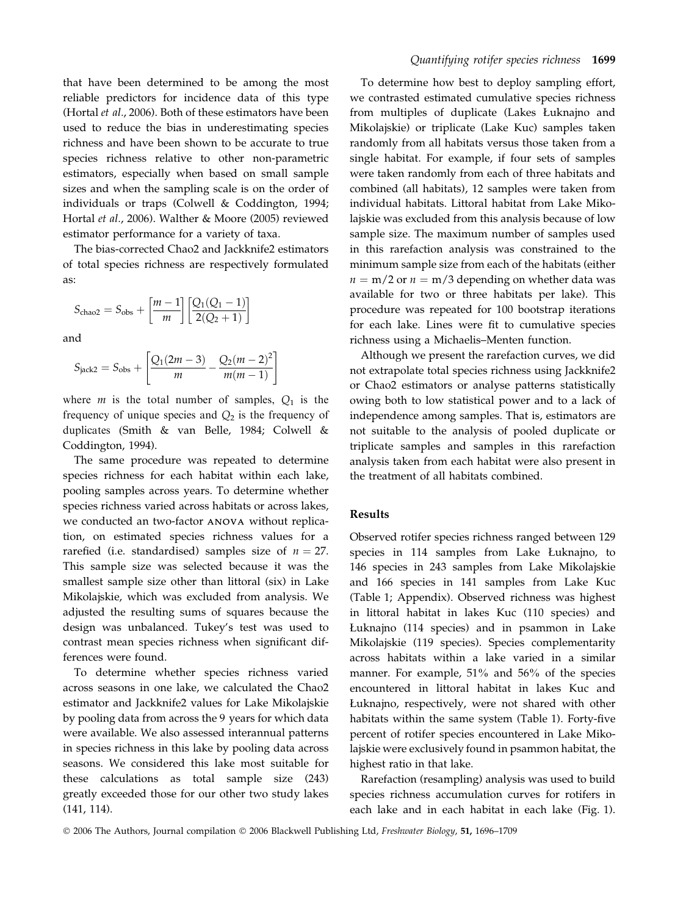that have been determined to be among the most reliable predictors for incidence data of this type (Hortal et al., 2006). Both of these estimators have been used to reduce the bias in underestimating species richness and have been shown to be accurate to true species richness relative to other non-parametric estimators, especially when based on small sample sizes and when the sampling scale is on the order of individuals or traps (Colwell & Coddington, 1994; Hortal et al., 2006). Walther & Moore (2005) reviewed estimator performance for a variety of taxa.

The bias-corrected Chao2 and Jackknife2 estimators of total species richness are respectively formulated as:

$$
S_{\text{chao2}} = S_{\text{obs}} + \left[\frac{m-1}{m}\right] \left[\frac{Q_1(Q_1 - 1)}{2(Q_2 + 1)}\right]
$$

and

$$
S_{\text{jack2}} = S_{\text{obs}} + \left[ \frac{Q_1(2m-3)}{m} - \frac{Q_2(m-2)^2}{m(m-1)} \right]
$$

where *m* is the total number of samples,  $Q_1$  is the frequency of unique species and  $Q_2$  is the frequency of duplicates (Smith & van Belle, 1984; Colwell & Coddington, 1994).

The same procedure was repeated to determine species richness for each habitat within each lake, pooling samples across years. To determine whether species richness varied across habitats or across lakes, we conducted an two-factor ANOVA without replication, on estimated species richness values for a rarefied (i.e. standardised) samples size of  $n = 27$ . This sample size was selected because it was the smallest sample size other than littoral (six) in Lake Mikolajskie, which was excluded from analysis. We adjusted the resulting sums of squares because the design was unbalanced. Tukey's test was used to contrast mean species richness when significant differences were found.

To determine whether species richness varied across seasons in one lake, we calculated the Chao2 estimator and Jackknife2 values for Lake Mikolajskie by pooling data from across the 9 years for which data were available. We also assessed interannual patterns in species richness in this lake by pooling data across seasons. We considered this lake most suitable for these calculations as total sample size (243) greatly exceeded those for our other two study lakes (141, 114).

To determine how best to deploy sampling effort, we contrasted estimated cumulative species richness from multiples of duplicate (Lakes Łuknajno and Mikolajskie) or triplicate (Lake Kuc) samples taken randomly from all habitats versus those taken from a single habitat. For example, if four sets of samples were taken randomly from each of three habitats and combined (all habitats), 12 samples were taken from individual habitats. Littoral habitat from Lake Mikolajskie was excluded from this analysis because of low sample size. The maximum number of samples used in this rarefaction analysis was constrained to the minimum sample size from each of the habitats (either  $n = m/2$  or  $n = m/3$  depending on whether data was available for two or three habitats per lake). This procedure was repeated for 100 bootstrap iterations for each lake. Lines were fit to cumulative species richness using a Michaelis–Menten function.

Although we present the rarefaction curves, we did not extrapolate total species richness using Jackknife2 or Chao2 estimators or analyse patterns statistically owing both to low statistical power and to a lack of independence among samples. That is, estimators are not suitable to the analysis of pooled duplicate or triplicate samples and samples in this rarefaction analysis taken from each habitat were also present in the treatment of all habitats combined.

#### Results

Observed rotifer species richness ranged between 129 species in 114 samples from Lake Łuknajno, to 146 species in 243 samples from Lake Mikolajskie and 166 species in 141 samples from Lake Kuc (Table 1; Appendix). Observed richness was highest in littoral habitat in lakes Kuc (110 species) and Łuknajno (114 species) and in psammon in Lake Mikolajskie (119 species). Species complementarity across habitats within a lake varied in a similar manner. For example, 51% and 56% of the species encountered in littoral habitat in lakes Kuc and Łuknajno, respectively, were not shared with other habitats within the same system (Table 1). Forty-five percent of rotifer species encountered in Lake Mikolajskie were exclusively found in psammon habitat, the highest ratio in that lake.

Rarefaction (resampling) analysis was used to build species richness accumulation curves for rotifers in each lake and in each habitat in each lake (Fig. 1).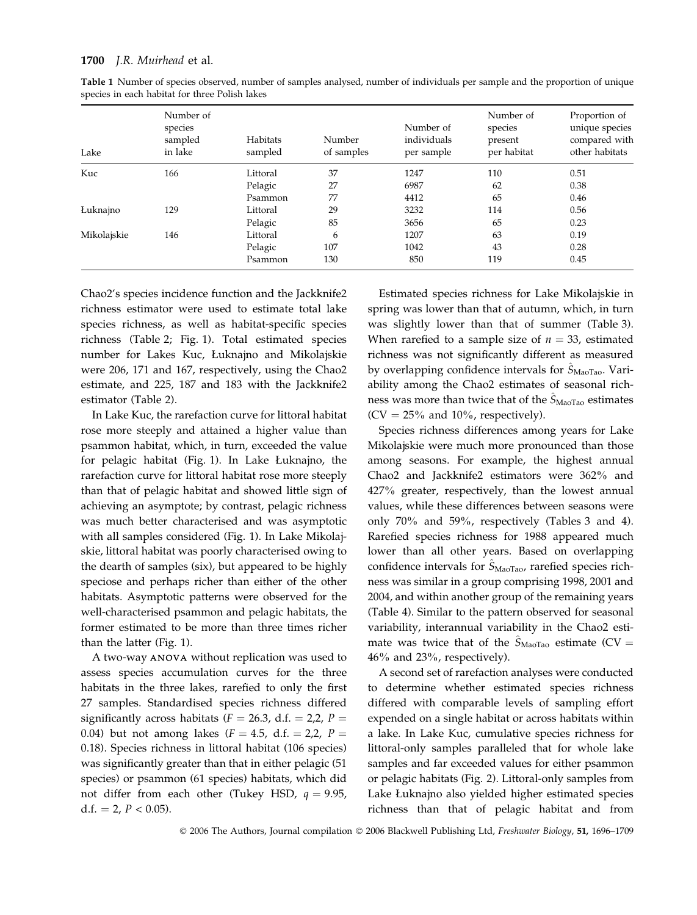| Lake        | Number of<br>species<br>sampled<br>in lake | Habitats<br>sampled | Number<br>of samples | Number of<br>individuals<br>per sample | Number of<br>species<br>present<br>per habitat | Proportion of<br>unique species<br>compared with<br>other habitats |
|-------------|--------------------------------------------|---------------------|----------------------|----------------------------------------|------------------------------------------------|--------------------------------------------------------------------|
| Kuc         | 166                                        | Littoral            | 37                   | 1247                                   | 110                                            | 0.51                                                               |
|             |                                            | Pelagic             | 27                   | 6987                                   | 62                                             | 0.38                                                               |
|             |                                            | Psammon             | 77                   | 4412                                   | 65                                             | 0.46                                                               |
| Łuknajno    | 129                                        | Littoral            | 29                   | 3232                                   | 114                                            | 0.56                                                               |
|             |                                            | Pelagic             | 85                   | 3656                                   | 65                                             | 0.23                                                               |
| Mikolajskie | 146                                        | Littoral            | 6                    | 1207                                   | 63                                             | 0.19                                                               |
|             |                                            | Pelagic             | 107                  | 1042                                   | 43                                             | 0.28                                                               |
|             |                                            | Psammon             | 130                  | 850                                    | 119                                            | 0.45                                                               |

Table 1 Number of species observed, number of samples analysed, number of individuals per sample and the proportion of unique species in each habitat for three Polish lakes

Chao2's species incidence function and the Jackknife2 richness estimator were used to estimate total lake species richness, as well as habitat-specific species richness (Table 2; Fig. 1). Total estimated species number for Lakes Kuc, Łuknajno and Mikolajskie were 206, 171 and 167, respectively, using the Chao2 estimate, and 225, 187 and 183 with the Jackknife2 estimator (Table 2).

In Lake Kuc, the rarefaction curve for littoral habitat rose more steeply and attained a higher value than psammon habitat, which, in turn, exceeded the value for pelagic habitat (Fig. 1). In Lake Łuknajno, the rarefaction curve for littoral habitat rose more steeply than that of pelagic habitat and showed little sign of achieving an asymptote; by contrast, pelagic richness was much better characterised and was asymptotic with all samples considered (Fig. 1). In Lake Mikolajskie, littoral habitat was poorly characterised owing to the dearth of samples (six), but appeared to be highly speciose and perhaps richer than either of the other habitats. Asymptotic patterns were observed for the well-characterised psammon and pelagic habitats, the former estimated to be more than three times richer than the latter (Fig. 1).

A two-way ANOVA without replication was used to assess species accumulation curves for the three habitats in the three lakes, rarefied to only the first 27 samples. Standardised species richness differed significantly across habitats ( $F = 26.3$ , d.f. = 2,2, P = 0.04) but not among lakes  $(F = 4.5, d.f. = 2.2, P =$ 0.18). Species richness in littoral habitat (106 species) was significantly greater than that in either pelagic (51 species) or psammon (61 species) habitats, which did not differ from each other (Tukey HSD,  $q = 9.95$ , d.f. = 2,  $P < 0.05$ ).

Estimated species richness for Lake Mikolajskie in spring was lower than that of autumn, which, in turn was slightly lower than that of summer (Table 3). When rarefied to a sample size of  $n = 33$ , estimated richness was not significantly different as measured by overlapping confidence intervals for  $\hat{S}_{\text{Maofao}}$ . Variability among the Chao2 estimates of seasonal richness was more than twice that of the  $S_{\text{Maofao}}$  estimates  $(CV = 25\%$  and 10%, respectively).

Species richness differences among years for Lake Mikolajskie were much more pronounced than those among seasons. For example, the highest annual Chao2 and Jackknife2 estimators were 362% and 427% greater, respectively, than the lowest annual values, while these differences between seasons were only 70% and 59%, respectively (Tables 3 and 4). Rarefied species richness for 1988 appeared much lower than all other years. Based on overlapping confidence intervals for  $S_{\text{Maofa}}$ , rarefied species richness was similar in a group comprising 1998, 2001 and 2004, and within another group of the remaining years (Table 4). Similar to the pattern observed for seasonal variability, interannual variability in the Chao2 estimate was twice that of the  $S_{\text{Maofao}}$  estimate (CV = 46% and 23%, respectively).

A second set of rarefaction analyses were conducted to determine whether estimated species richness differed with comparable levels of sampling effort expended on a single habitat or across habitats within a lake. In Lake Kuc, cumulative species richness for littoral-only samples paralleled that for whole lake samples and far exceeded values for either psammon or pelagic habitats (Fig. 2). Littoral-only samples from Lake Łuknajno also yielded higher estimated species richness than that of pelagic habitat and from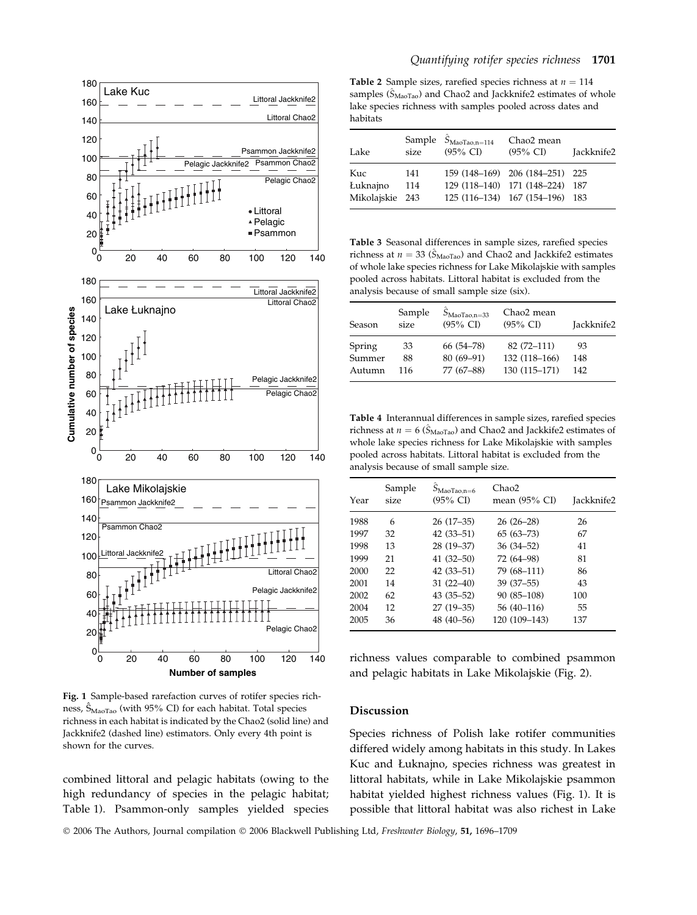

Fig. 1 Sample-based rarefaction curves of rotifer species richness,  $\hat{S}_{\text{Maofao}}$  (with 95% CI) for each habitat. Total species richness in each habitat is indicated by the Chao2 (solid line) and Jackknife2 (dashed line) estimators. Only every 4th point is shown for the curves.

combined littoral and pelagic habitats (owing to the high redundancy of species in the pelagic habitat; Table 1). Psammon-only samples yielded species

Table 2 Sample sizes, rarefied species richness at  $n = 114$ samples  $(\hat{S}_{\text{Maofao}})$  and Chao2 and Jackknife2 estimates of whole lake species richness with samples pooled across dates and habitats

| Lake            | size | Sample $\hat{S}_{MaoTao,n=114}$<br>$(95\% \text{ CI})$ | Chao2 mean<br>$(95\% \text{ CI})$ | Jackknife2 |
|-----------------|------|--------------------------------------------------------|-----------------------------------|------------|
| Kuc             | 141  |                                                        | 159 (148-169) 206 (184-251) 225   |            |
| Łuknajno        | 114  |                                                        | 129 (118-140) 171 (148-224)       | 187        |
| Mikolajskie 243 |      |                                                        | 125 (116-134) 167 (154-196) 183   |            |

Table 3 Seasonal differences in sample sizes, rarefied species richness at  $n = 33 \left( \hat{S}_{\text{Maofao}} \right)$  and Chao2 and Jackkife2 estimates of whole lake species richness for Lake Mikolajskie with samples pooled across habitats. Littoral habitat is excluded from the analysis because of small sample size (six).

| <b>Season</b> | Sample<br>size | $S_{\text{Mao Tao},n=33}$<br>$(95\% \text{ CI})$ | Chao2 mean<br>$(95\% \text{ CI})$ | Jackknife2 |
|---------------|----------------|--------------------------------------------------|-----------------------------------|------------|
| Spring        | 33             | 66 (54–78)                                       | 82 (72-111)                       | 93         |
| Summer        | 88             | $80(69-91)$                                      | 132 (118-166)                     | 148        |
| Autumn        | 116            | 77 (67-88)                                       | 130 (115-171)                     | 142        |

Table 4 Interannual differences in sample sizes, rarefied species richness at  $n = 6$  ( $\hat{S}_{\text{Maofa}}$ ) and Chao2 and Jackkife2 estimates of whole lake species richness for Lake Mikolajskie with samples pooled across habitats. Littoral habitat is excluded from the analysis because of small sample size.

| Year | Sample<br>size | $S_{\text{Mao Tao},n=6}$<br>$(95\% \text{ CI})$ | Chao2<br>mean (95% CI) | Jackknife2 |
|------|----------------|-------------------------------------------------|------------------------|------------|
| 1988 | 6              | $26(17-35)$                                     | $26(26-28)$            | 26         |
| 1997 | 32             | $42(33 - 51)$                                   | $65(63 - 73)$          | 67         |
| 1998 | 13             | $28(19-37)$                                     | $36(34 - 52)$          | 41         |
| 1999 | 21             | $41(32 - 50)$                                   | 72 (64-98)             | 81         |
| 2000 | 22             | $42(33 - 51)$                                   | 79 (68-111)            | 86         |
| 2001 | 14             | $31(22-40)$                                     | $39(37-55)$            | 43         |
| 2002 | 62             | $43(35-52)$                                     | 90 (85-108)            | 100        |
| 2004 | 12             | $27(19-35)$                                     | 56 (40-116)            | 55         |
| 2005 | 36             | 48 (40-56)                                      | 120 (109-143)          | 137        |

richness values comparable to combined psammon and pelagic habitats in Lake Mikolajskie (Fig. 2).

#### Discussion

Species richness of Polish lake rotifer communities differed widely among habitats in this study. In Lakes Kuc and Łuknajno, species richness was greatest in littoral habitats, while in Lake Mikolajskie psammon habitat yielded highest richness values (Fig. 1). It is possible that littoral habitat was also richest in Lake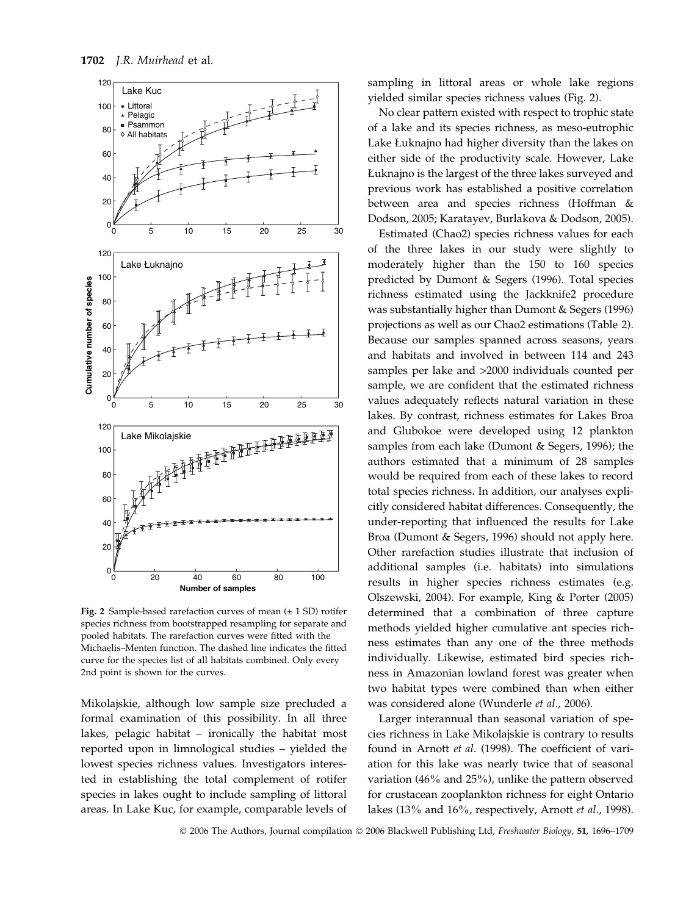

Fig. 2 Sample-based rarefaction curves of mean  $(\pm 1$  SD) rotifer species richness from bootstrapped resampling for separate and pooled habitats. The rarefaction curves were fitted with the Michaelis–Menten function. The dashed line indicates the fitted curve for the species list of all habitats combined. Only every 2nd point is shown for the curves.

Mikolajskie, although low sample size precluded a formal examination of this possibility. In all three lakes, pelagic habitat – ironically the habitat most reported upon in limnological studies – yielded the lowest species richness values. Investigators interested in establishing the total complement of rotifer species in lakes ought to include sampling of littoral areas. In Lake Kuc, for example, comparable levels of sampling in littoral areas or whole lake regions yielded similar species richness values (Fig. 2).

No clear pattern existed with respect to trophic state of a lake and its species richness, as meso-eutrophic Lake Łuknajno had higher diversity than the lakes on either side of the productivity scale. However, Lake Łuknajno is the largest of the three lakes surveyed and previous work has established a positive correlation between area and species richness (Hoffman & Dodson, 2005; Karatayev, Burlakova & Dodson, 2005).

Estimated (Chao2) species richness values for each of the three lakes in our study were slightly to moderately higher than the 150 to 160 species predicted by Dumont & Segers (1996). Total species richness estimated using the Jackknife2 procedure was substantially higher than Dumont & Segers (1996) projections as well as our Chao2 estimations (Table 2). Because our samples spanned across seasons, years and habitats and involved in between 114 and 243 samples per lake and >2000 individuals counted per sample, we are confident that the estimated richness values adequately reflects natural variation in these lakes. By contrast, richness estimates for Lakes Broa and Glubokoe were developed using 12 plankton samples from each lake (Dumont & Segers, 1996); the authors estimated that a minimum of 28 samples would be required from each of these lakes to record total species richness. In addition, our analyses explicitly considered habitat differences. Consequently, the under-reporting that influenced the results for Lake Broa (Dumont & Segers, 1996) should not apply here. Other rarefaction studies illustrate that inclusion of additional samples (i.e. habitats) into simulations results in higher species richness estimates (e.g. Olszewski, 2004). For example, King & Porter (2005) determined that a combination of three capture methods yielded higher cumulative ant species richness estimates than any one of the three methods individually. Likewise, estimated bird species richness in Amazonian lowland forest was greater when two habitat types were combined than when either was considered alone (Wunderle et al., 2006).

Larger interannual than seasonal variation of species richness in Lake Mikolajskie is contrary to results found in Arnott et al. (1998). The coefficient of variation for this lake was nearly twice that of seasonal variation (46% and 25%), unlike the pattern observed for crustacean zooplankton richness for eight Ontario lakes (13% and 16%, respectively, Arnott et al., 1998).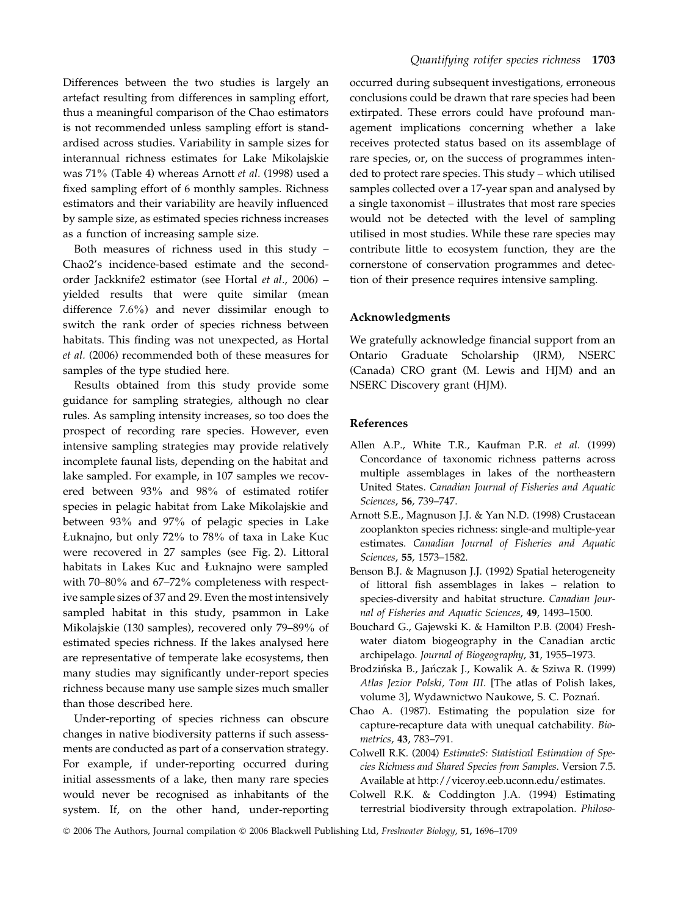Differences between the two studies is largely an artefact resulting from differences in sampling effort, thus a meaningful comparison of the Chao estimators is not recommended unless sampling effort is standardised across studies. Variability in sample sizes for interannual richness estimates for Lake Mikolajskie was 71% (Table 4) whereas Arnott et al. (1998) used a fixed sampling effort of 6 monthly samples. Richness estimators and their variability are heavily influenced by sample size, as estimated species richness increases as a function of increasing sample size.

Both measures of richness used in this study – Chao2's incidence-based estimate and the secondorder Jackknife2 estimator (see Hortal et al., 2006) – yielded results that were quite similar (mean difference 7.6%) and never dissimilar enough to switch the rank order of species richness between habitats. This finding was not unexpected, as Hortal et al. (2006) recommended both of these measures for samples of the type studied here.

Results obtained from this study provide some guidance for sampling strategies, although no clear rules. As sampling intensity increases, so too does the prospect of recording rare species. However, even intensive sampling strategies may provide relatively incomplete faunal lists, depending on the habitat and lake sampled. For example, in 107 samples we recovered between 93% and 98% of estimated rotifer species in pelagic habitat from Lake Mikolajskie and between 93% and 97% of pelagic species in Lake Łuknajno, but only 72% to 78% of taxa in Lake Kuc were recovered in 27 samples (see Fig. 2). Littoral habitats in Lakes Kuc and Łuknajno were sampled with 70–80% and 67–72% completeness with respective sample sizes of 37 and 29. Even the most intensively sampled habitat in this study, psammon in Lake Mikolajskie (130 samples), recovered only 79–89% of estimated species richness. If the lakes analysed here are representative of temperate lake ecosystems, then many studies may significantly under-report species richness because many use sample sizes much smaller than those described here.

Under-reporting of species richness can obscure changes in native biodiversity patterns if such assessments are conducted as part of a conservation strategy. For example, if under-reporting occurred during initial assessments of a lake, then many rare species would never be recognised as inhabitants of the system. If, on the other hand, under-reporting occurred during subsequent investigations, erroneous conclusions could be drawn that rare species had been extirpated. These errors could have profound management implications concerning whether a lake receives protected status based on its assemblage of rare species, or, on the success of programmes intended to protect rare species. This study – which utilised samples collected over a 17-year span and analysed by a single taxonomist – illustrates that most rare species would not be detected with the level of sampling utilised in most studies. While these rare species may contribute little to ecosystem function, they are the cornerstone of conservation programmes and detection of their presence requires intensive sampling.

#### Acknowledgments

We gratefully acknowledge financial support from an Ontario Graduate Scholarship (JRM), NSERC (Canada) CRO grant (M. Lewis and HJM) and an NSERC Discovery grant (HJM).

#### References

- Allen A.P., White T.R., Kaufman P.R. et al. (1999) Concordance of taxonomic richness patterns across multiple assemblages in lakes of the northeastern United States. Canadian Journal of Fisheries and Aquatic Sciences, 56, 739–747.
- Arnott S.E., Magnuson J.J. & Yan N.D. (1998) Crustacean zooplankton species richness: single-and multiple-year estimates. Canadian Journal of Fisheries and Aquatic Sciences, 55, 1573–1582.
- Benson B.J. & Magnuson J.J. (1992) Spatial heterogeneity of littoral fish assemblages in lakes – relation to species-diversity and habitat structure. Canadian Journal of Fisheries and Aquatic Sciences, 49, 1493–1500.
- Bouchard G., Gajewski K. & Hamilton P.B. (2004) Freshwater diatom biogeography in the Canadian arctic archipelago. Journal of Biogeography, 31, 1955–1973.
- Brodzińska B., Jańczak J., Kowalik A. & Sziwa R. (1999) Atlas Jezior Polski, Tom III. [The atlas of Polish lakes, volume 3], Wydawnictwo Naukowe, S. C. Poznań.
- Chao A. (1987). Estimating the population size for capture-recapture data with unequal catchability. Biometrics, 43, 783–791.
- Colwell R.K. (2004) EstimateS: Statistical Estimation of Species Richness and Shared Species from Samples. Version 7.5. Available at http://viceroy.eeb.uconn.edu/estimates.
- Colwell R.K. & Coddington J.A. (1994) Estimating terrestrial biodiversity through extrapolation. Philoso-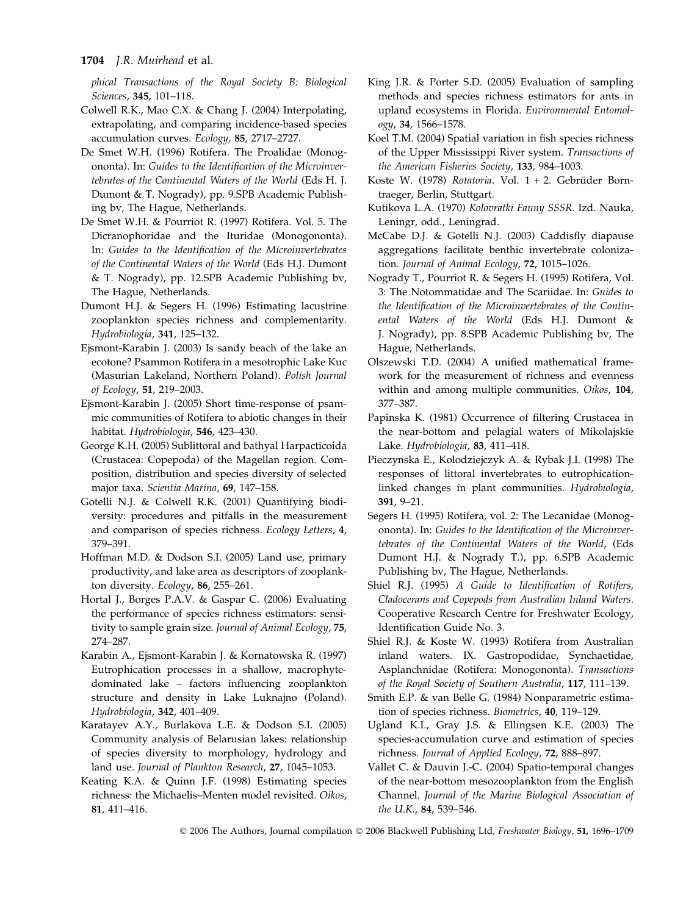phical Transactions of the Royal Society B: Biological Sciences, 345, 101–118.

- Colwell R.K., Mao C.X. & Chang J. (2004) Interpolating, extrapolating, and comparing incidence-based species accumulation curves. Ecology, 85, 2717–2727.
- De Smet W.H. (1996) Rotifera. The Proalidae (Monogononta). In: Guides to the Identification of the Microinvertebrates of the Continental Waters of the World (Eds H. J. Dumont & T. Nogrady), pp. 9.SPB Academic Publishing bv, The Hague, Netherlands.
- De Smet W.H. & Pourriot R. (1997) Rotifera. Vol. 5. The Dicranophoridae and the Ituridae (Monogononta). In: Guides to the Identification of the Microinvertebrates of the Continental Waters of the World (Eds H.J. Dumont & T. Nogrady), pp. 12.SPB Academic Publishing bv, The Hague, Netherlands.
- Dumont H.J. & Segers H. (1996) Estimating lacustrine zooplankton species richness and complementarity. Hydrobiologia, 341, 125–132.
- Ejsmont-Karabin J. (2003) Is sandy beach of the lake an ecotone? Psammon Rotifera in a mesotrophic Lake Kuc (Masurian Lakeland, Northern Poland). Polish Journal of Ecology, 51, 219–2003.
- Ejsmont-Karabin J. (2005) Short time-response of psammic communities of Rotifera to abiotic changes in their habitat. Hydrobiologia, 546, 423–430.
- George K.H. (2005) Sublittoral and bathyal Harpacticoida (Crustacea: Copepoda) of the Magellan region. Composition, distribution and species diversity of selected major taxa. Scientia Marina, 69, 147–158.
- Gotelli N.J. & Colwell R.K. (2001) Quantifying biodiversity: procedures and pitfalls in the measurement and comparison of species richness. Ecology Letters, 4, 379–391.
- Hoffman M.D. & Dodson S.I. (2005) Land use, primary productivity, and lake area as descriptors of zooplankton diversity. Ecology, 86, 255–261.
- Hortal J., Borges P.A.V. & Gaspar C. (2006) Evaluating the performance of species richness estimators: sensitivity to sample grain size. Journal of Animal Ecology, 75, 274–287.
- Karabin A., Ejsmont-Karabin J. & Kornatowska R. (1997) Eutrophication processes in a shallow, macrophytedominated lake – factors influencing zooplankton structure and density in Lake Luknajno (Poland). Hydrobiologia, 342, 401–409.
- Karatayev A.Y., Burlakova L.E. & Dodson S.I. (2005) Community analysis of Belarusian lakes: relationship of species diversity to morphology, hydrology and land use. Journal of Plankton Research, 27, 1045–1053.
- Keating K.A. & Quinn J.F. (1998) Estimating species richness: the Michaelis–Menten model revisited. Oikos, 81, 411–416.
- King J.R. & Porter S.D. (2005) Evaluation of sampling methods and species richness estimators for ants in upland ecosystems in Florida. Environmental Entomology, 34, 1566–1578.
- Koel T.M. (2004) Spatial variation in fish species richness of the Upper Mississippi River system. Transactions of the American Fisheries Society, 133, 984–1003.
- Koste W. (1978) Rotatoria. Vol. 1 + 2. Gebrüder Borntraeger, Berlin, Stuttgart.
- Kutikova L.A. (1970) Kolovratki Fauny SSSR. Izd. Nauka, Leningr, odd., Leningrad.
- McCabe D.J. & Gotelli N.J. (2003) Caddisfly diapause aggregations facilitate benthic invertebrate colonization. Journal of Animal Ecology, 72, 1015–1026.
- Nogrady T., Pourriot R. & Segers H. (1995) Rotifera, Vol. 3: The Notommatidae and The Scariidae. In: Guides to the Identification of the Microinvertebrates of the Continental Waters of the World (Eds H.J. Dumont & J. Nogrady), pp. 8.SPB Academic Publishing bv, The Hague, Netherlands.
- Olszewski T.D. (2004) A unified mathematical framework for the measurement of richness and evenness within and among multiple communities. Oikos, 104, 377–387.
- Papinska K. (1981) Occurrence of filtering Crustacea in the near-bottom and pelagial waters of Mikolajskie Lake. Hydrobiologia, 83, 411–418.
- Pieczynska E., Kolodziejczyk A. & Rybak J.I. (1998) The responses of littoral invertebrates to eutrophicationlinked changes in plant communities. Hydrobiologia, 391, 9–21.
- Segers H. (1995) Rotifera, vol. 2: The Lecanidae (Monogononta). In: Guides to the Identification of the Microinvertebrates of the Continental Waters of the World, (Eds Dumont H.J. & Nogrady T.), pp. 6.SPB Academic Publishing bv, The Hague, Netherlands.
- Shiel R.J. (1995) A Guide to Identification of Rotifers, Cladocerans and Copepods from Australian Inland Waters. Cooperative Research Centre for Freshwater Ecology, Identification Guide No. 3.
- Shiel R.J. & Koste W. (1993) Rotifera from Australian inland waters. IX. Gastropodidae, Synchaetidae, Asplanchnidae (Rotifera: Monogononta). Transactions of the Royal Society of Southern Australia, 117, 111–139.
- Smith E.P. & van Belle G. (1984) Nonparametric estimation of species richness. Biometrics, 40, 119–129.
- Ugland K.I., Gray J.S. & Ellingsen K.E. (2003) The species-accumulation curve and estimation of species richness. Journal of Applied Ecology, 72, 888–897.
- Vallet C. & Dauvin J.-C. (2004) Spatio-temporal changes of the near-bottom mesozooplankton from the English Channel. Journal of the Marine Biological Association of the U.K., 84, 539–546.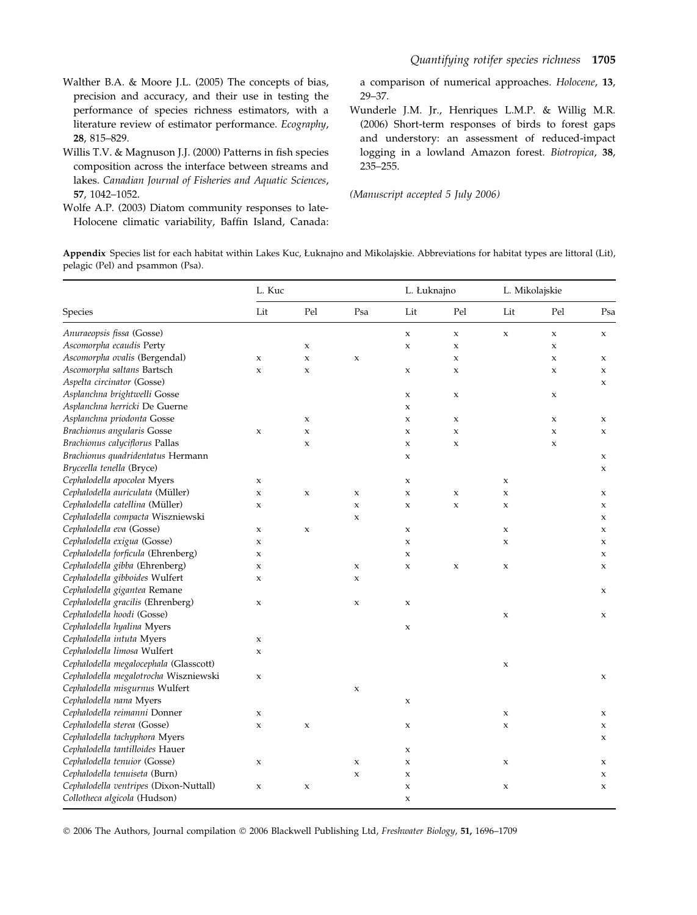- Walther B.A. & Moore J.L. (2005) The concepts of bias, precision and accuracy, and their use in testing the performance of species richness estimators, with a literature review of estimator performance. Ecography, 28, 815–829.
- Willis T.V. & Magnuson J.J. (2000) Patterns in fish species composition across the interface between streams and lakes. Canadian Journal of Fisheries and Aquatic Sciences, 57, 1042–1052.
- Wolfe A.P. (2003) Diatom community responses to late-Holocene climatic variability, Baffin Island, Canada:

a comparison of numerical approaches. Holocene, 13, 29–37.

Wunderle J.M. Jr., Henriques L.M.P. & Willig M.R. (2006) Short-term responses of birds to forest gaps and understory: an assessment of reduced-impact logging in a lowland Amazon forest. Biotropica, 38, 235–255.

(Manuscript accepted 5 July 2006)

Appendix Species list for each habitat within Lakes Kuc, Łuknajno and Mikolajskie. Abbreviations for habitat types are littoral (Lit), pelagic (Pel) and psammon (Psa).

|                                        | L. Kuc      |             |                           | L. Łuknajno    |                | L. Mikolajskie |             |             |
|----------------------------------------|-------------|-------------|---------------------------|----------------|----------------|----------------|-------------|-------------|
| Species                                | Lit         | Pel         | Psa                       | Lit            | Pel            | Lit            | Pel         | Psa         |
| Anuraeopsis fissa (Gosse)              |             |             |                           | x              | $\mathsf x$    | $\mathsf X$    | $\mathsf X$ | $\mathsf X$ |
| Ascomorpha ecaudis Perty               |             | $\mathsf X$ |                           | $\mathbf x$    | $\mathsf X$    |                | $\mathsf X$ |             |
| Ascomorpha ovalis (Bergendal)          | X           | $\mathsf X$ | $\mathsf X$               |                | x              |                | X           | X           |
| Ascomorpha saltans Bartsch             | $\mathsf X$ | $\mathsf X$ |                           | X              | x              |                | $\mathsf X$ | $\mathsf X$ |
| Aspelta circinator (Gosse)             |             |             |                           |                |                |                |             | $\mathsf X$ |
| Asplanchna brightwelli Gosse           |             |             |                           | X              | $\mathsf X$    |                | X           |             |
| Asplanchna herricki De Guerne          |             |             |                           | $\mathsf x$    |                |                |             |             |
| Asplanchna priodonta Gosse             |             | $\mathsf X$ |                           | $\mathsf x$    | $\mathsf X$    |                | $\mathsf X$ | X           |
| Brachionus angularis Gosse             | $\mathsf X$ | $\mathsf X$ |                           | $\mathsf X$    | $\mathsf X$    |                | $\mathsf X$ | $\mathsf X$ |
| Brachionus calyciflorus Pallas         |             | $\mathsf X$ |                           | $\mathsf X$    | $\mathsf X$    |                | $\mathsf X$ |             |
| Brachionus quadridentatus Hermann      |             |             |                           | $\mathsf X$    |                |                |             | X           |
| Bryceella tenella (Bryce)              |             |             |                           |                |                |                |             | $\mathsf X$ |
| Cephalodella apocolea Myers            | X           |             |                           | X              |                | $\mathsf X$    |             |             |
| Cephalodella auriculata (Müller)       | $\mathsf X$ | $\mathsf X$ | $\mathsf X$               | $\mathsf X$    | $\mathsf x$    | $\mathsf X$    |             | X           |
| Cephalodella catellina (Müller)        | $\mathsf X$ |             | $\boldsymbol{\mathsf{x}}$ | $\pmb{\times}$ | $\pmb{\times}$ | $\mathsf X$    |             | $\mathsf X$ |
| Cephalodella compacta Wiszniewski      |             |             | $\mathsf X$               |                |                |                |             | X           |
| Cephalodella eva (Gosse)               | $\mathsf X$ | $\mathsf X$ |                           | $\mathsf x$    |                | $\mathsf X$    |             | X           |
| Cephalodella exigua (Gosse)            | $\mathsf x$ |             |                           | $\mathsf x$    |                | $\mathsf X$    |             | $\mathsf X$ |
| Cephalodella forficula (Ehrenberg)     | x           |             |                           | $\mathsf X$    |                |                |             | X           |
| Cephalodella gibba (Ehrenberg)         | X           |             | X                         | $\mathsf X$    | $\mathsf X$    | $\mathsf X$    |             | X           |
| Cephalodella gibboides Wulfert         | $\mathsf X$ |             | $\mathsf X$               |                |                |                |             |             |
| Cephalodella gigantea Remane           |             |             |                           |                |                |                |             | X           |
| Cephalodella gracilis (Ehrenberg)      | $\mathsf X$ |             | $\mathsf X$               | $\mathsf x$    |                |                |             |             |
| Cephalodella hoodi (Gosse)             |             |             |                           |                |                | $\mathsf X$    |             | $\mathsf X$ |
| Cephalodella hyalina Myers             |             |             |                           | $\mathsf X$    |                |                |             |             |
| Cephalodella intuta Myers              | X           |             |                           |                |                |                |             |             |
| Cephalodella limosa Wulfert            | $\mathsf X$ |             |                           |                |                |                |             |             |
| Cephalodella megalocephala (Glasscott) |             |             |                           |                |                | X              |             |             |
| Cephalodella megalotrocha Wiszniewski  | X           |             |                           |                |                |                |             | X           |
| Cephalodella misgurnus Wulfert         |             |             | $\mathbf{x}$              |                |                |                |             |             |
| Cephalodella nana Myers                |             |             |                           | x              |                |                |             |             |
| Cephalodella reimanni Donner           | X           |             |                           |                |                | $\mathsf X$    |             | X           |
| Cephalodella sterea (Gosse)            | $\mathsf X$ | $\mathsf X$ |                           | $\mathsf X$    |                | $\mathsf X$    |             | $\mathsf X$ |
| Cephalodella tachyphora Myers          |             |             |                           |                |                |                |             | X           |
| Cephalodella tantilloides Hauer        |             |             |                           | $\mathsf x$    |                |                |             |             |
| Cephalodella tenuior (Gosse)           | $\mathsf X$ |             | $\mathsf X$               | $\mathsf x$    |                | X              |             | X           |
| Cephalodella tenuiseta (Burn)          |             |             | $\boldsymbol{\mathsf{x}}$ | $\mathsf x$    |                |                |             | $\mathsf X$ |
| Cephalodella ventripes (Dixon-Nuttall) | X           | $\mathsf X$ |                           | X              |                | X              |             | X           |
| Collotheca algicola (Hudson)           |             |             |                           | $\mathsf X$    |                |                |             |             |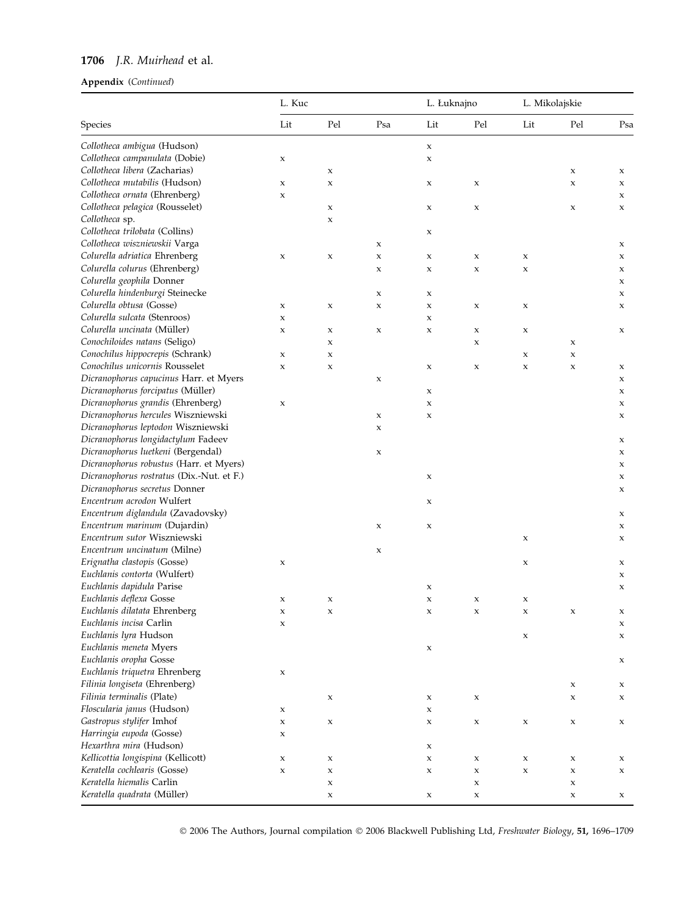# 1706 J.R. Muirhead et al.

### Appendix (Continued)

|                                                                            | L. Kuc      |             |             | L. Łuknajno |     | L. Mikolajskie |                |     |
|----------------------------------------------------------------------------|-------------|-------------|-------------|-------------|-----|----------------|----------------|-----|
| Species                                                                    | Lit         | Pel         | Psa         | Lit         | Pel | Lit            | Pel            | Psa |
| Collotheca ambigua (Hudson)                                                |             |             |             | $\mathsf X$ |     |                |                |     |
| Collotheca campanulata (Dobie)                                             | x           |             |             | X           |     |                |                |     |
| Collotheca libera (Zacharias)                                              |             | X           |             |             |     |                | X              | X   |
| Collotheca mutabilis (Hudson)                                              | $\mathsf x$ | X           |             | X           | x   |                | $\pmb{\times}$ | X   |
| Collotheca ornata (Ehrenberg)                                              | x           |             |             |             |     |                |                | X   |
| Collotheca pelagica (Rousselet)                                            |             | X           |             | X           | x   |                | X              | X   |
| Collotheca sp.                                                             |             | $\mathsf X$ |             |             |     |                |                |     |
| Collotheca trilobata (Collins)                                             |             |             |             | X           |     |                |                |     |
| Collotheca wiszniewskii Varga                                              |             |             | $\mathsf X$ |             |     |                |                | X   |
| Colurella adriatica Ehrenberg                                              | $\mathsf x$ | X           | $\mathsf X$ | x           | x   | X              |                | X   |
| Colurella colurus (Ehrenberg)                                              |             |             | $\mathsf x$ | X           | x   | $\mathsf X$    |                | X   |
| Colurella geophila Donner                                                  |             |             |             |             |     |                |                | X   |
| Colurella hindenburgi Steinecke                                            |             |             | $\mathsf X$ | x           |     |                |                | X   |
| Colurella obtusa (Gosse)                                                   | X           | $\mathsf X$ | $\mathsf x$ | X           | x   | $\mathsf X$    |                | X   |
| Colurella sulcata (Stenroos)                                               | X           |             |             | X           |     |                |                |     |
| Colurella uncinata (Müller)                                                | X           | $\mathsf X$ | $\mathsf X$ | X           | X   | X              |                | X   |
| Conochiloides natans (Seligo)                                              |             | $\mathsf X$ |             |             | x   |                | x              |     |
| Conochilus hippocrepis (Schrank)                                           | x           | $\mathsf X$ |             |             |     | x              | $\mathsf x$    |     |
| Conochilus unicornis Rousselet                                             | $\mathbf x$ | $\mathsf X$ |             | X           | x   | $\mathsf X$    | $\mathsf x$    | X   |
| Dicranophorus capucinus Harr. et Myers                                     |             |             | X           |             |     |                |                | X   |
| Dicranophorus forcipatus (Müller)                                          |             |             |             | X           |     |                |                | X   |
| Dicranophorus grandis (Ehrenberg)                                          | X           |             |             | $\mathsf x$ |     |                |                | X   |
| Dicranophorus hercules Wiszniewski                                         |             |             | $\mathsf X$ | $\mathsf x$ |     |                |                | X   |
| Dicranophorus leptodon Wiszniewski                                         |             |             | $\mathsf X$ |             |     |                |                |     |
| Dicranophorus longidactylum Fadeev                                         |             |             |             |             |     |                |                |     |
| Dicranophorus luetkeni (Bergendal)                                         |             |             | $\mathsf X$ |             |     |                |                | X   |
| Dicranophorus robustus (Harr. et Myers)                                    |             |             |             |             |     |                |                | X   |
|                                                                            |             |             |             |             |     |                |                | X   |
| Dicranophorus rostratus (Dix.-Nut. et F.)<br>Dicranophorus secretus Donner |             |             |             | X           |     |                |                | X   |
| Encentrum acrodon Wulfert                                                  |             |             |             |             |     |                |                | X   |
|                                                                            |             |             |             | x           |     |                |                |     |
| Encentrum diglandula (Zavadovsky)<br>Encentrum marinum (Dujardin)          |             |             |             |             |     |                |                | X   |
| Encentrum sutor Wiszniewski                                                |             |             | X           | X           |     |                |                | X   |
| Encentrum uncinatum (Milne)                                                |             |             |             |             |     | x              |                | X   |
|                                                                            |             |             | X           |             |     |                |                |     |
| Erignatha clastopis (Gosse)                                                | x           |             |             |             |     | x              |                | X   |
| Euchlanis contorta (Wulfert)                                               |             |             |             |             |     |                |                | X   |
| Euchlanis dapidula Parise                                                  |             |             |             | x           |     |                |                | X   |
| Euchlanis deflexa Gosse                                                    | $\mathsf x$ | $\mathsf X$ |             | $\mathsf x$ | x   | X              |                |     |
| Euchlanis dilatata Ehrenberg                                               | X           | X           |             | X           | x   | X              | x              | X   |
| Euchlanis incisa Carlin                                                    | x           |             |             |             |     |                |                | x   |
| Euchlanis lyra Hudson                                                      |             |             |             |             |     | x              |                | X   |
| Euchlanis meneta Myers                                                     |             |             |             | x           |     |                |                |     |
| Euchlanis oropha Gosse                                                     |             |             |             |             |     |                |                | X   |
| Euchlanis triquetra Ehrenberg                                              | x           |             |             |             |     |                |                |     |
| Filinia longiseta (Ehrenberg)                                              |             |             |             |             |     |                | x              | X   |
| Filinia terminalis (Plate)                                                 |             | X           |             | X           | x   |                | $\mathsf X$    | X   |
| Floscularia janus (Hudson)                                                 | x           |             |             | X           |     |                |                |     |
| Gastropus stylifer Imhof                                                   | x           | $\mathsf X$ |             | x           | X   | $\mathsf X$    | x              | X   |
| Harringia eupoda (Gosse)                                                   | x           |             |             |             |     |                |                |     |
| Hexarthra mira (Hudson)                                                    |             |             |             | X           |     |                |                |     |
| Kellicottia longispina (Kellicott)                                         | x           | x           |             | X           | x   | X              | x              | X   |
| Keratella cochlearis (Gosse)                                               | $\mathsf X$ | $\mathsf X$ |             | X           | X   | $\mathsf X$    | $\mathsf X$    | X   |
| Keratella hiemalis Carlin                                                  |             | $\mathsf X$ |             |             | x   |                | X              |     |
| Keratella quadrata (Müller)                                                |             | $\mathsf X$ |             | x           | x   |                | x              | X   |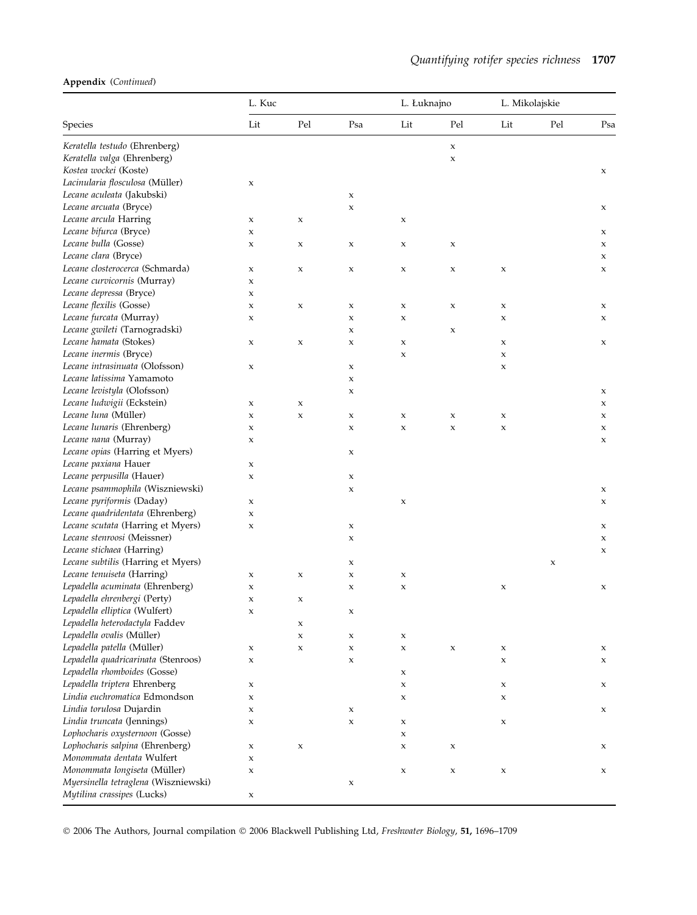#### Appendix (Continued)

|                                      | L. Kuc      |                           |             | L. Łuknajno |             | L. Mikolajskie |     |     |
|--------------------------------------|-------------|---------------------------|-------------|-------------|-------------|----------------|-----|-----|
| Species                              | Lit         | Pel                       | Psa         | Lit         | Pel         | Lit            | Pel | Psa |
| Keratella testudo (Ehrenberg)        |             |                           |             |             | $\mathsf X$ |                |     |     |
| Keratella valga (Ehrenberg)          |             |                           |             |             | $\mathsf X$ |                |     |     |
| Kostea wockei (Koste)                |             |                           |             |             |             |                |     | X   |
| Lacinularia flosculosa (Müller)      | x           |                           |             |             |             |                |     |     |
| Lecane aculeata (Jakubski)           |             |                           | X           |             |             |                |     |     |
| Lecane arcuata (Bryce)               |             |                           | $\mathsf X$ |             |             |                |     | X   |
| Lecane arcula Harring                | x           | $\mathsf X$               |             | X           |             |                |     |     |
| Lecane bifurca (Bryce)               | x           |                           |             |             |             |                |     | X   |
| Lecane bulla (Gosse)                 | X           | $\boldsymbol{\mathsf{x}}$ | X           | X           | X           |                |     | X   |
| Lecane clara (Bryce)                 |             |                           |             |             |             |                |     | X   |
| Lecane closterocerca (Schmarda)      | X           | $\boldsymbol{\mathsf{X}}$ | X           | X           | X           | X              |     | X   |
| Lecane curvicornis (Murray)          | x           |                           |             |             |             |                |     |     |
| Lecane depressa (Bryce)              | X           |                           |             |             |             |                |     |     |
| Lecane flexilis (Gosse)              | x           | $\mathsf X$               | x           | x           | X           | x              |     | X   |
| Lecane furcata (Murray)              | x           |                           | X           | X           |             | X              |     | X   |
| Lecane gwileti (Tarnogradski)        |             |                           | x           |             | x           |                |     |     |
| Lecane hamata (Stokes)               | x           | $\boldsymbol{\mathsf{x}}$ | X           | X           |             | X              |     | X   |
| Lecane inermis (Bryce)               |             |                           |             | $\mathsf x$ |             | x              |     |     |
| Lecane intrasinuata (Olofsson)       | x           |                           | X           |             |             | X              |     |     |
| Lecane latissima Yamamoto            |             |                           | X           |             |             |                |     |     |
| Lecane levistyla (Olofsson)          |             |                           | X           |             |             |                |     | X   |
| Lecane ludwigii (Eckstein)           | x           | $\mathsf x$               |             |             |             |                |     | X   |
| Lecane luna (Müller)                 | x           | $\mathsf X$               | x           | $\mathsf x$ | X           | x              |     | X   |
| Lecane lunaris (Ehrenberg)           | x           |                           | X           | $\mathsf x$ | $\mathsf X$ | $\mathsf X$    |     | X   |
| Lecane nana (Murray)                 | x           |                           |             |             |             |                |     | X   |
| Lecane opias (Harring et Myers)      |             |                           | x           |             |             |                |     |     |
| Lecane paxiana Hauer                 | x           |                           |             |             |             |                |     |     |
| Lecane perpusilla (Hauer)            | x           |                           | x           |             |             |                |     |     |
| Lecane psammophila (Wiszniewski)     |             |                           | x           |             |             |                |     | X   |
| Lecane pyriformis (Daday)            | x           |                           |             | x           |             |                |     | X   |
| Lecane quadridentata (Ehrenberg)     | X           |                           |             |             |             |                |     |     |
| Lecane scutata (Harring et Myers)    | X           |                           | X           |             |             |                |     | x   |
| Lecane stenroosi (Meissner)          |             |                           | x           |             |             |                |     | X   |
| Lecane stichaea (Harring)            |             |                           |             |             |             |                |     | X   |
| Lecane subtilis (Harring et Myers)   |             |                           | x           |             |             |                | X   |     |
| Lecane tenuiseta (Harring)           | x           | $\mathsf X$               | X           | $\mathsf X$ |             |                |     |     |
| Lepadella acuminata (Ehrenberg)      | x           |                           | x           | x           |             | X              |     | x   |
| Lepadella ehrenbergi (Perty)         | X           | X                         |             |             |             |                |     |     |
| Lepadella elliptica (Wulfert)        | x           |                           | x           |             |             |                |     |     |
| Lepadella heterodactyla Faddev       |             | $\mathsf X$               |             |             |             |                |     |     |
| Lepadella ovalis (Müller)            |             | $\mathsf X$               | x           | x           |             |                |     |     |
| Lepadella patella (Müller)           | x           | $\mathsf X$               | X           | $\mathsf X$ | $\mathsf X$ | $\mathsf X$    |     | x   |
| Lepadella quadricarinata (Stenroos)  | X           |                           | x           |             |             | X              |     | x   |
| Lepadella rhomboides (Gosse)         |             |                           |             | X           |             |                |     |     |
| Lepadella triptera Ehrenberg         | x           |                           |             | X           |             | X              |     | x   |
| Lindia euchromatica Edmondson        | X           |                           |             | $\mathsf X$ |             | X              |     |     |
| Lindia torulosa Dujardin             | x           |                           | x           |             |             |                |     | x   |
| Lindia truncata (Jennings)           | X           |                           | $\mathsf X$ | $\mathsf X$ |             | $\mathsf X$    |     |     |
| Lophocharis oxysternoon (Gosse)      |             |                           |             | $\mathsf X$ |             |                |     |     |
| Lophocharis salpina (Ehrenberg)      | x           | $\mathsf X$               |             | x           | $\mathsf x$ |                |     | x   |
| Monommata dentata Wulfert            | X           |                           |             |             |             |                |     |     |
| Monommata longiseta (Müller)         | $\mathsf x$ |                           |             | $\mathsf X$ | X           | X              |     | X   |
| Myersinella tetraglena (Wiszniewski) |             |                           | x           |             |             |                |     |     |
| Mytilina crassipes (Lucks)           | x           |                           |             |             |             |                |     |     |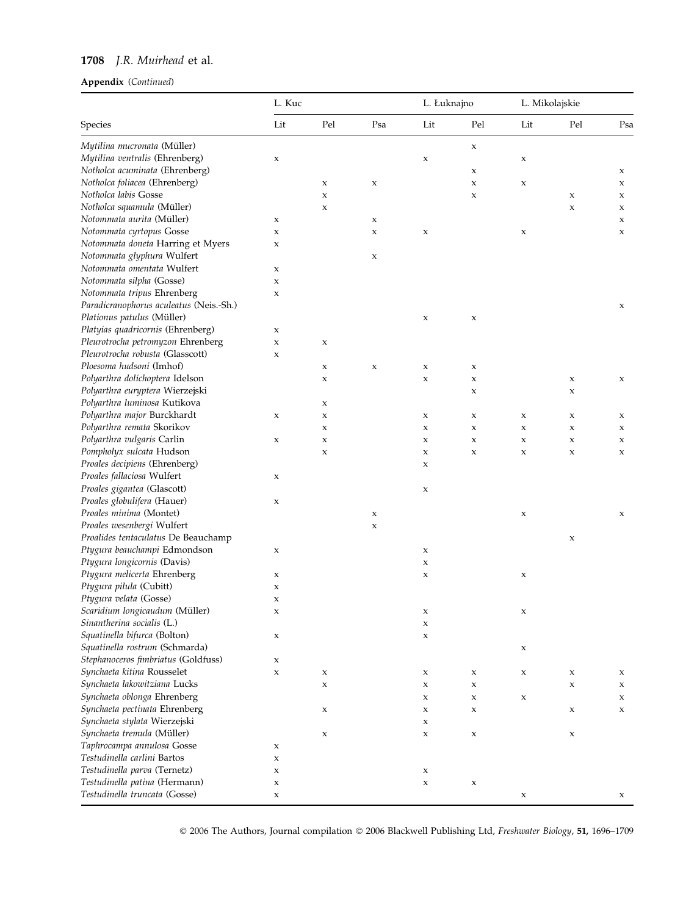# 1708 J.R. Muirhead et al.

## Appendix (Continued)

|                                         | L. Kuc                    |             | L. Łuknajno |                           | L. Mikolajskie |             |             |     |
|-----------------------------------------|---------------------------|-------------|-------------|---------------------------|----------------|-------------|-------------|-----|
| Species                                 | Lit                       | Pel         | Psa         | Lit                       | Pel            | Lit         | Pel         | Psa |
| Mytilina mucronata (Müller)             |                           |             |             |                           | X              |             |             |     |
| Mytilina ventralis (Ehrenberg)          | X                         |             |             | x                         |                | $\mathsf X$ |             |     |
| Notholca acuminata (Ehrenberg)          |                           |             |             |                           | x              |             |             | x   |
| Notholca foliacea (Ehrenberg)           |                           | X           | X           |                           | x              | $\mathsf X$ |             | X   |
| Notholca labis Gosse                    |                           | $\mathsf x$ |             |                           | x              |             | $\mathsf X$ | X   |
| Notholca squamula (Müller)              |                           | X           |             |                           |                |             | X           | X   |
| Notommata aurita (Müller)               | X                         |             | X           |                           |                |             |             | X   |
| Notommata cyrtopus Gosse                | X                         |             | $\mathsf X$ | $\boldsymbol{\mathsf{x}}$ |                | x           |             | X   |
| Notommata doneta Harring et Myers       | $\mathsf x$               |             |             |                           |                |             |             |     |
| Notommata glyphura Wulfert              |                           |             | x           |                           |                |             |             |     |
| Notommata omentata Wulfert              | X                         |             |             |                           |                |             |             |     |
| Notommata silpha (Gosse)                |                           |             |             |                           |                |             |             |     |
|                                         | X                         |             |             |                           |                |             |             |     |
| Notommata tripus Ehrenberg              | X                         |             |             |                           |                |             |             |     |
| Paradicranophorus aculeatus (Neis.-Sh.) |                           |             |             |                           |                |             |             | X   |
| Plationus patulus (Müller)              |                           |             |             | $\mathsf x$               | x              |             |             |     |
| Platyias quadricornis (Ehrenberg)       | X                         |             |             |                           |                |             |             |     |
| Pleurotrocha petromyzon Ehrenberg       | $\mathsf x$               | $\mathsf x$ |             |                           |                |             |             |     |
| Pleurotrocha robusta (Glasscott)        | X                         |             |             |                           |                |             |             |     |
| Ploesoma hudsoni (Imhof)                |                           | X           | X           | $\boldsymbol{\mathsf{x}}$ | x              |             |             |     |
| Polyarthra dolichoptera Idelson         |                           | x           |             | $\mathsf X$               | x              |             | X           | X   |
| Polyarthra euryptera Wierzejski         |                           |             |             |                           | x              |             | X           |     |
| Polyarthra luminosa Kutikova            |                           | X           |             |                           |                |             |             |     |
| Polyarthra major Burckhardt             | X                         | x           |             | x                         | x              | X           | X           | X   |
| Polyarthra remata Skorikov              |                           | X           |             | X                         | x              | X           | X           | X   |
| Polyarthra vulgaris Carlin              | X                         | X           |             | X                         | x              | X           | X           | X   |
| Pompholyx sulcata Hudson                |                           | X           |             | X                         | x              | x           | X           | X   |
| Proales decipiens (Ehrenberg)           |                           |             |             | X                         |                |             |             |     |
| Proales fallaciosa Wulfert              | X                         |             |             |                           |                |             |             |     |
| Proales gigantea (Glascott)             |                           |             |             | X                         |                |             |             |     |
| Proales globulifera (Hauer)             | $\mathsf x$               |             |             |                           |                |             |             |     |
| Proales minima (Montet)                 |                           |             | X           |                           |                | X           |             | X   |
| Proales wesenbergi Wulfert              |                           |             | X           |                           |                |             |             |     |
| Proalides tentaculatus De Beauchamp     |                           |             |             |                           |                |             | $\mathsf X$ |     |
| Ptygura beauchampi Edmondson            | X                         |             |             | x                         |                |             |             |     |
| Ptygura longicornis (Davis)             |                           |             |             | X                         |                |             |             |     |
| Ptygura melicerta Ehrenberg             | X                         |             |             | X                         |                | x           |             |     |
| Ptygura pilula (Cubitt)                 | x                         |             |             |                           |                |             |             |     |
| Ptygura velata (Gosse)                  | $\boldsymbol{\mathsf{X}}$ |             |             |                           |                |             |             |     |
| Scaridium longicaudum (Müller)          | $\boldsymbol{\mathsf{X}}$ |             |             | X                         |                | X           |             |     |
| Sinantherina socialis (L.)              |                           |             |             | $\mathsf X$               |                |             |             |     |
| Squatinella bifurca (Bolton)            | $\boldsymbol{\mathsf{x}}$ |             |             | $\mathsf X$               |                |             |             |     |
| Squatinella rostrum (Schmarda)          |                           |             |             |                           |                | X           |             |     |
| Stephanoceros fimbriatus (Goldfuss)     | $\boldsymbol{\mathsf{x}}$ |             |             |                           |                |             |             |     |
| Synchaeta kitina Rousselet              | X                         | x           |             | x                         | x              | x           | $\mathsf x$ | x   |
| Synchaeta lakowitziana Lucks            |                           | X           |             | $\mathsf X$               | X              |             | $\mathsf x$ | X   |
| Synchaeta oblonga Ehrenberg             |                           |             |             | x                         | x              | x           |             | X   |
| Synchaeta pectinata Ehrenberg           |                           |             |             | $\mathsf x$               |                |             | $\mathsf x$ | X   |
| Synchaeta stylata Wierzejski            |                           | x           |             |                           | x              |             |             |     |
|                                         |                           |             |             | x                         |                |             |             |     |
| Synchaeta tremula (Müller)              |                           | $\mathsf X$ |             | X                         | x              |             | $\mathsf x$ |     |
| Taphrocampa annulosa Gosse              | $\boldsymbol{\mathsf{x}}$ |             |             |                           |                |             |             |     |
| Testudinella carlini Bartos             | $\mathsf x$               |             |             |                           |                |             |             |     |
| Testudinella parva (Ternetz)            | X                         |             |             | x                         |                |             |             |     |
| Testudinella patina (Hermann)           | X                         |             |             | $\mathsf x$               | x              |             |             |     |
| Testudinella truncata (Gosse)           | $\mathsf x$               |             |             |                           |                | X           |             | X   |